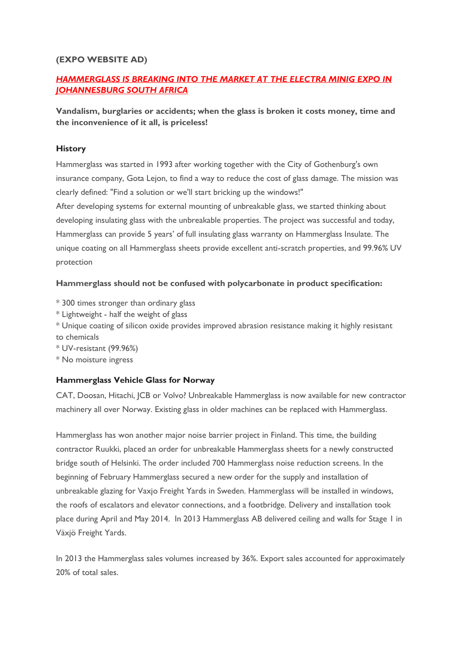## **(EXPO WEBSITE AD)**

# *HAMMERGLASS IS BREAKING INTO THE MARKET AT THE ELECTRA MINIG EXPO IN JOHANNESBURG SOUTH AFRICA*

**Vandalism, burglaries or accidents; when the glass is broken it costs money, time and the inconvenience of it all, is priceless!** 

### **History**

Hammerglass was started in 1993 after working together with the City of Gothenburg's own insurance company, Gota Lejon, to find a way to reduce the cost of glass damage. The mission was clearly defined: "Find a solution or we'll start bricking up the windows!"

After developing systems for external mounting of unbreakable glass, we started thinking about developing insulating glass with the unbreakable properties. The project was successful and today, Hammerglass can provide 5 years' of full insulating glass warranty on Hammerglass Insulate. The unique coating on all Hammerglass sheets provide excellent anti-scratch properties, and 99.96% UV protection

#### **Hammerglass should not be confused with polycarbonate in product specification:**

- \* 300 times stronger than ordinary glass
- \* Lightweight half the weight of glass

\* Unique coating of silicon oxide provides improved abrasion resistance making it highly resistant to chemicals

\* UV-resistant (99.96%)

\* No moisture ingress

#### **Hammerglass Vehicle Glass for Norway**

CAT, Doosan, Hitachi, JCB or Volvo? Unbreakable Hammerglass is now available for new contractor machinery all over Norway. Existing glass in older machines can be replaced with Hammerglass.

Hammerglass has won another major noise barrier project in Finland. This time, the building contractor Ruukki, placed an order for unbreakable Hammerglass sheets for a newly constructed bridge south of Helsinki. The order included 700 Hammerglass noise reduction screens. In the beginning of February Hammerglass secured a new order for the supply and installation of unbreakable glazing for Vaxjo Freight Yards in Sweden. Hammerglass will be installed in windows, the roofs of escalators and elevator connections, and a footbridge. Delivery and installation took place during April and May 2014. In 2013 Hammerglass AB delivered ceiling and walls for Stage 1 in Växjö Freight Yards.

In 2013 the Hammerglass sales volumes increased by 36%. Export sales accounted for approximately 20% of total sales.